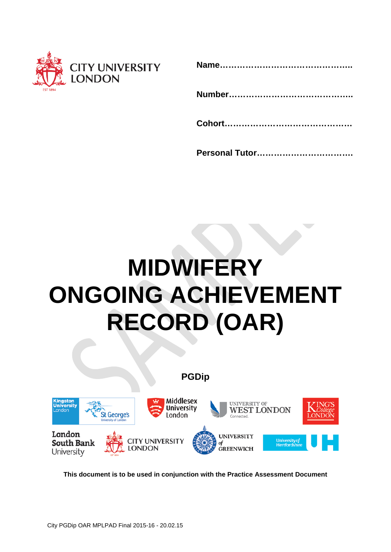

|--|--|--|

|--|--|--|

# **MIDWIFERY ONGOING ACHIEVEMENT RECORD (OAR)**





**This document is to be used in conjunction with the Practice Assessment Document**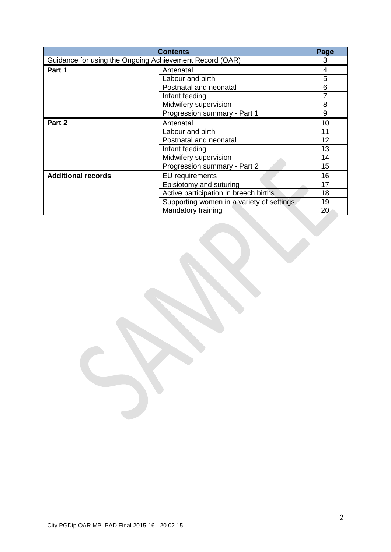| <b>Contents</b>                                         |                                           | Page |
|---------------------------------------------------------|-------------------------------------------|------|
| Guidance for using the Ongoing Achievement Record (OAR) |                                           | 3    |
| Part 1                                                  | Antenatal                                 | 4    |
|                                                         | Labour and birth                          | 5    |
|                                                         | Postnatal and neonatal                    | 6    |
|                                                         | Infant feeding                            |      |
|                                                         | Midwifery supervision                     | 8    |
|                                                         | Progression summary - Part 1              | 9    |
| Part 2                                                  | Antenatal                                 | 10   |
|                                                         | Labour and birth                          | 11   |
|                                                         | Postnatal and neonatal                    | 12   |
|                                                         | Infant feeding                            | 13   |
|                                                         | Midwifery supervision                     | 14   |
|                                                         | Progression summary - Part 2              | 15   |
| <b>Additional records</b>                               | EU requirements                           | 16   |
|                                                         | Episiotomy and suturing                   | 17   |
|                                                         | Active participation in breech births     | 18   |
|                                                         | Supporting women in a variety of settings | 19   |
|                                                         | Mandatory training                        | 20   |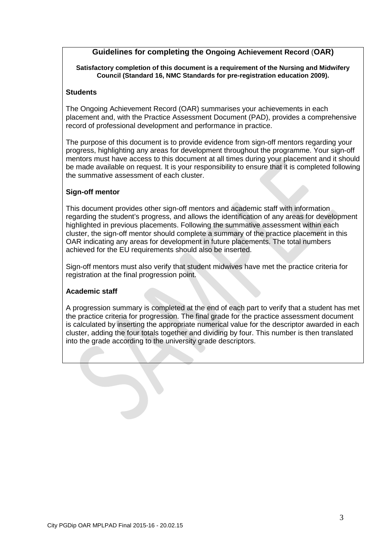# **Guidelines for completing the Ongoing Achievement Record** (**OAR)**

**Satisfactory completion of this document is a requirement of the Nursing and Midwifery Council (Standard 16, NMC Standards for pre-registration education 2009).** 

# **Students**

The Ongoing Achievement Record (OAR) summarises your achievements in each placement and, with the Practice Assessment Document (PAD), provides a comprehensive record of professional development and performance in practice.

The purpose of this document is to provide evidence from sign-off mentors regarding your progress, highlighting any areas for development throughout the programme. Your sign-off mentors must have access to this document at all times during your placement and it should be made available on request. It is your responsibility to ensure that it is completed following the summative assessment of each cluster.

# **Sign-off mentor**

This document provides other sign-off mentors and academic staff with information regarding the student's progress, and allows the identification of any areas for development highlighted in previous placements. Following the summative assessment within each cluster, the sign-off mentor should complete a summary of the practice placement in this OAR indicating any areas for development in future placements. The total numbers achieved for the EU requirements should also be inserted.

Sign-off mentors must also verify that student midwives have met the practice criteria for registration at the final progression point.

# **Academic staff**

A progression summary is completed at the end of each part to verify that a student has met the practice criteria for progression. The final grade for the practice assessment document is calculated by inserting the appropriate numerical value for the descriptor awarded in each cluster, adding the four totals together and dividing by four. This number is then translated into the grade according to the university grade descriptors.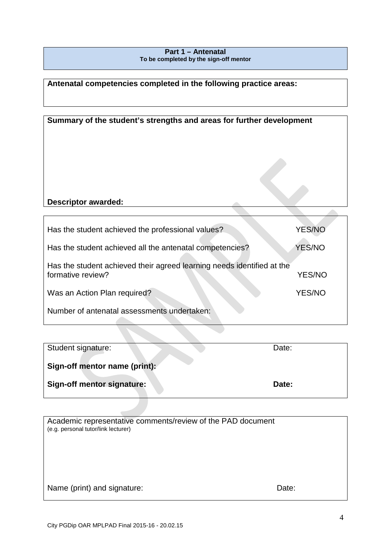# **Part 1 – Antenatal To be completed by the sign-off mentor**

**Antenatal competencies completed in the following practice areas:** 

| Summary of the student's strengths and areas for further development   |               |
|------------------------------------------------------------------------|---------------|
|                                                                        |               |
| <b>Descriptor awarded:</b>                                             |               |
| Has the student achieved the professional values?                      | YES/NO        |
| Has the student achieved all the antenatal competencies?               | <b>YES/NO</b> |
| Has the student achieved their agreed learning needs identified at the |               |

Has the student achieved their agreed learning needs identified at the formative review? YES/NO

Was an Action Plan required? YES/NO

| Number of antenatal assessments undertaken: |  |
|---------------------------------------------|--|
|---------------------------------------------|--|

| Student signature:                | Date: |
|-----------------------------------|-------|
| Sign-off mentor name (print):     |       |
| <b>Sign-off mentor signature:</b> | Date: |

| Academic representative comments/review of the PAD document<br>(e.g. personal tutor/link lecturer) |       |
|----------------------------------------------------------------------------------------------------|-------|
|                                                                                                    |       |
|                                                                                                    |       |
| Name (print) and signature:                                                                        | Date: |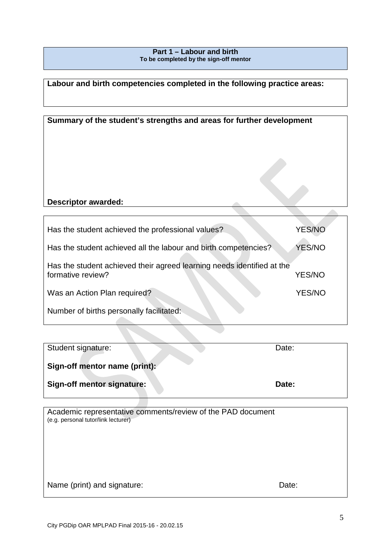# **Part 1 – Labour and birth To be completed by the sign-off mentor**

# **Labour and birth competencies completed in the following practice areas:**

| Summary of the student's strengths and areas for further development |               |
|----------------------------------------------------------------------|---------------|
|                                                                      |               |
| <b>Descriptor awarded:</b>                                           |               |
| Has the student achieved the professional values?                    | <b>YES/NO</b> |
| Has the student achieved all the labour and birth competencies?      | <b>YES/NO</b> |

Has the student achieved their agreed learning needs identified at the formative review? YES/NO

Was an Action Plan required? YES/NO

Number of births personally facilitated:

| Student signature:            | Date: |
|-------------------------------|-------|
| Sign-off mentor name (print): |       |
| Sign-off mentor signature:    | Date: |

Academic representative comments/review of the PAD document (e.g. personal tutor/link lecturer)

| Name (print) and signature: | Date: |
|-----------------------------|-------|
|-----------------------------|-------|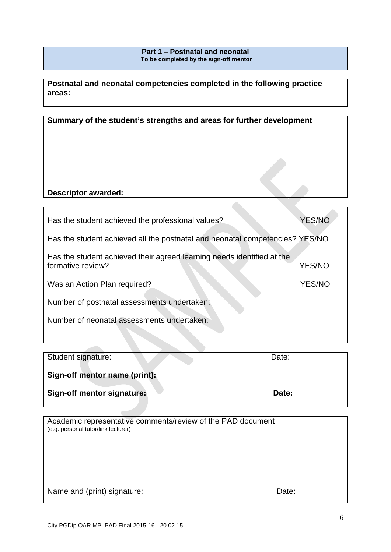# **Part 1 – Postnatal and neonatal To be completed by the sign-off mentor**

**Postnatal and neonatal competencies completed in the following practice areas:** 

| Summary of the student's strengths and areas for further development                        |               |  |
|---------------------------------------------------------------------------------------------|---------------|--|
|                                                                                             |               |  |
|                                                                                             |               |  |
|                                                                                             |               |  |
| <b>Descriptor awarded:</b>                                                                  |               |  |
|                                                                                             |               |  |
| Has the student achieved the professional values?                                           | <b>YES/NO</b> |  |
| Has the student achieved all the postnatal and neonatal competencies? YES/NO                |               |  |
| Has the student achieved their agreed learning needs identified at the<br>formative review? | <b>YES/NO</b> |  |
| Was an Action Plan required?                                                                | <b>YES/NO</b> |  |
| Number of postnatal assessments undertaken:                                                 |               |  |
| Number of neonatal assessments undertaken:                                                  |               |  |
|                                                                                             |               |  |

| Student signature:            | Date: |
|-------------------------------|-------|
| Sign-off mentor name (print): |       |
| Sign-off mentor signature:    | Date: |

Academic representative comments/review of the PAD document (e.g. personal tutor/link lecturer)

Name and (print) signature: Date: Date:

**Contract Contract**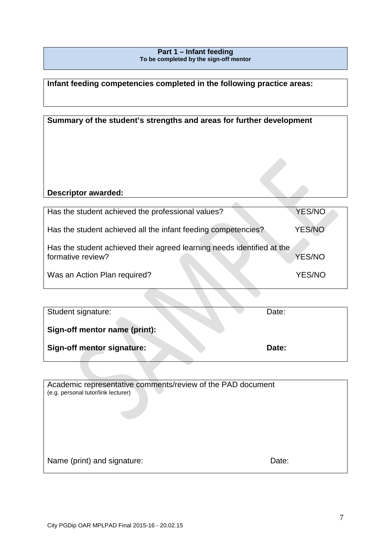# **Part 1 – Infant feeding To be completed by the sign-off mentor**

**Infant feeding competencies completed in the following practice areas:** 

| Summary of the student's strengths and areas for further development                        |               |
|---------------------------------------------------------------------------------------------|---------------|
| <b>Descriptor awarded:</b>                                                                  |               |
|                                                                                             |               |
| Has the student achieved the professional values?                                           | YES/NO        |
| Has the student achieved all the infant feeding competencies?                               | <b>YES/NO</b> |
| Has the student achieved their agreed learning needs identified at the<br>formative review? | YES/NO        |
| Was an Action Plan required?                                                                | <b>YES/NO</b> |

| Student signature:            | Date: |
|-------------------------------|-------|
| Sign-off mentor name (print): |       |
| Sign-off mentor signature:    | Date: |

**Contract** 

| Academic representative comments/review of the PAD document<br>(e.g. personal tutor/link lecturer) |       |
|----------------------------------------------------------------------------------------------------|-------|
| Name (print) and signature:                                                                        | Date: |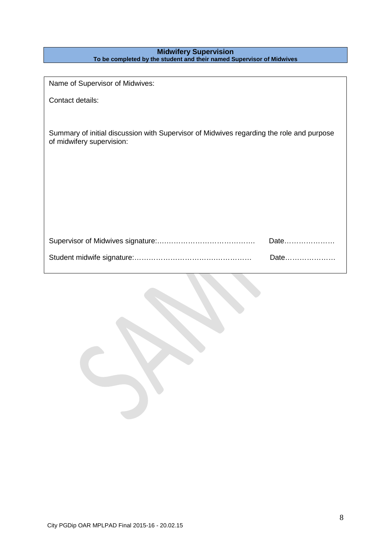# **Midwifery Supervision To be completed by the student and their named Supervisor of Midwives**

| Name of Supervisor of Midwives:                                                                                       |      |
|-----------------------------------------------------------------------------------------------------------------------|------|
| Contact details:                                                                                                      |      |
|                                                                                                                       |      |
| Summary of initial discussion with Supervisor of Midwives regarding the role and purpose<br>of midwifery supervision: |      |
|                                                                                                                       |      |
|                                                                                                                       |      |
|                                                                                                                       |      |
|                                                                                                                       |      |
|                                                                                                                       |      |
|                                                                                                                       | Date |
|                                                                                                                       | Date |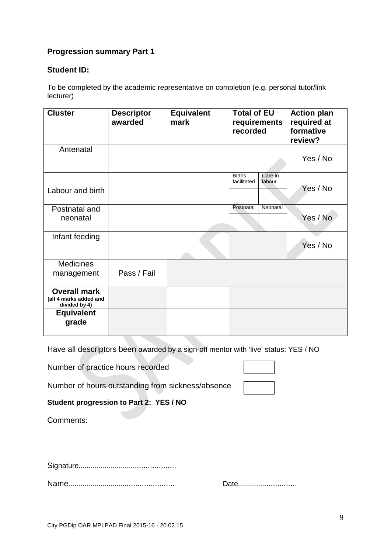# **Progression summary Part 1**

# **Student ID:**

To be completed by the academic representative on completion (e.g. personal tutor/link lecturer)

| <b>Cluster</b>                                                 | <b>Descriptor</b><br>awarded | <b>Equivalent</b><br>mark | <b>Total of EU</b><br>requirements<br>recorded    | <b>Action plan</b><br>required at<br>formative<br>review? |
|----------------------------------------------------------------|------------------------------|---------------------------|---------------------------------------------------|-----------------------------------------------------------|
| Antenatal                                                      |                              |                           |                                                   | Yes / No                                                  |
| Labour and birth                                               |                              |                           | <b>Births</b><br>Care in<br>facilitated<br>labour | Yes / No                                                  |
| Postnatal and<br>neonatal                                      |                              |                           | Postnatal<br>Neonatal                             | Yes / No                                                  |
| Infant feeding                                                 |                              |                           |                                                   | Yes / No                                                  |
| <b>Medicines</b><br>management                                 | Pass / Fail                  |                           |                                                   |                                                           |
| <b>Overall mark</b><br>(all 4 marks added and<br>divided by 4) |                              |                           |                                                   |                                                           |
| <b>Equivalent</b><br>grade                                     |                              |                           |                                                   |                                                           |

Have all descriptors been awarded by a sign-off mentor with 'live' status: YES / NO

Number of practice hours recorded

Number of hours outstanding from sickness/absence

# **Student progression to Part 2: YES / NO**

Comments:

Signature...............................................

Name................................................... Date............................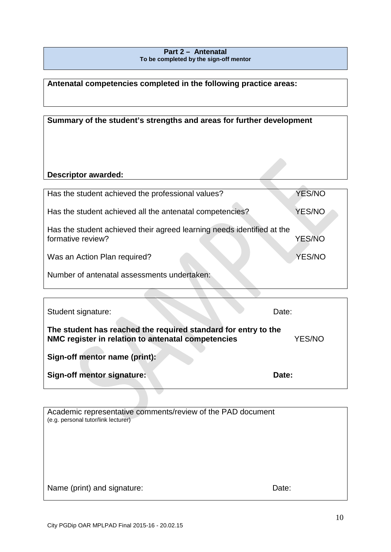# **Part 2 – Antenatal To be completed by the sign-off mentor**

**Antenatal competencies completed in the following practice areas:** 

| Summary of the student's strengths and areas for further development                        |               |
|---------------------------------------------------------------------------------------------|---------------|
| Descriptor awarded:                                                                         |               |
| Has the student achieved the professional values?                                           | <b>YES/NO</b> |
| Has the student achieved all the antenatal competencies?                                    | YES/NO        |
| Has the student achieved their agreed learning needs identified at the<br>formative review? | <b>YES/NO</b> |
| Was an Action Plan required?                                                                | <b>YES/NO</b> |
| Number of antenatal assessments undertaken:                                                 |               |

| Student signature:                                                                                                   | Date:  |
|----------------------------------------------------------------------------------------------------------------------|--------|
| The student has reached the required standard for entry to the<br>NMC register in relation to antenatal competencies | YES/NO |
| Sign-off mentor name (print):                                                                                        |        |
| Sign-off mentor signature:                                                                                           | Date:  |
|                                                                                                                      |        |

| Academic representative comments/review of the PAD document<br>(e.g. personal tutor/link lecturer) |       |
|----------------------------------------------------------------------------------------------------|-------|
|                                                                                                    |       |
|                                                                                                    |       |
|                                                                                                    |       |
|                                                                                                    |       |
|                                                                                                    |       |
|                                                                                                    |       |
| Name (print) and signature:                                                                        | Date: |
|                                                                                                    |       |

 $\overline{1}$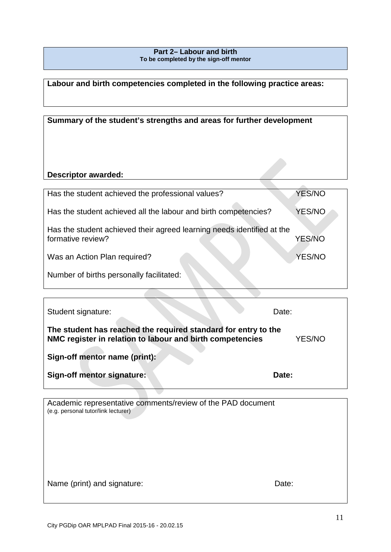# **Part 2– Labour and birth To be completed by the sign-off mentor**

# **Labour and birth competencies completed in the following practice areas:**

| Summary of the student's strengths and areas for further development                        |               |  |
|---------------------------------------------------------------------------------------------|---------------|--|
| <b>Descriptor awarded:</b>                                                                  |               |  |
| Has the student achieved the professional values?                                           | <b>YES/NO</b> |  |
| Has the student achieved all the labour and birth competencies?                             | YES/NO        |  |
| Has the student achieved their agreed learning needs identified at the<br>formative review? | <b>YES/NO</b> |  |
| Was an Action Plan required?                                                                | YES/NO        |  |
| Number of births personally facilitated:                                                    |               |  |

| Student signature:                                                                                                          | Date:  |
|-----------------------------------------------------------------------------------------------------------------------------|--------|
| The student has reached the required standard for entry to the<br>NMC register in relation to labour and birth competencies | YES/NO |
| Sign-off mentor name (print):                                                                                               |        |
| Sign-off mentor signature:                                                                                                  | Date:  |

Academic representative comments/review of the PAD document (e.g. personal tutor/link lecturer) Name (print) and signature: Date: Date:

 $\overline{1}$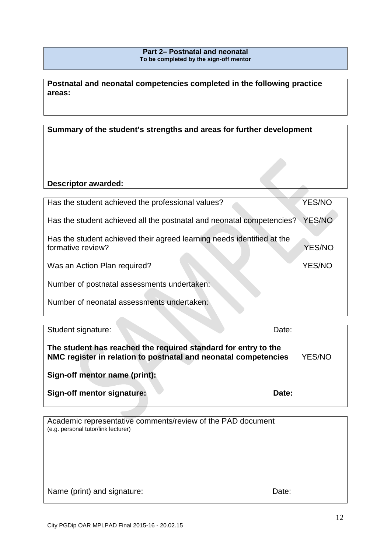# **Part 2– Postnatal and neonatal To be completed by the sign-off mentor**

**Postnatal and neonatal competencies completed in the following practice areas:** 

**Summary of the student's strengths and areas for further development**

# **Descriptor awarded:**

| Has the student achieved the professional values?                      | YES/NO        |
|------------------------------------------------------------------------|---------------|
| Has the student achieved all the postnatal and neonatal competencies?  | <b>YES/NO</b> |
|                                                                        |               |
| Has the student achieved their agreed learning needs identified at the |               |
| formative review?                                                      | <b>YES/NO</b> |
|                                                                        |               |
| Was an Action Plan required?                                           | <b>YES/NO</b> |
|                                                                        |               |
| Number of postnatal assessments undertaken:                            |               |
|                                                                        |               |
| Number of neonatal assessments undertaken:                             |               |
|                                                                        |               |
|                                                                        |               |

| Student signature:                                                                                                                | Date: |        |
|-----------------------------------------------------------------------------------------------------------------------------------|-------|--------|
| The student has reached the required standard for entry to the<br>NMC register in relation to postnatal and neonatal competencies |       | YES/NO |
| Sign-off mentor name (print):                                                                                                     |       |        |
| Sign-off mentor signature:                                                                                                        | Date: |        |

Academic representative comments/review of the PAD document (e.g. personal tutor/link lecturer)

Name (print) and signature: Date: Date: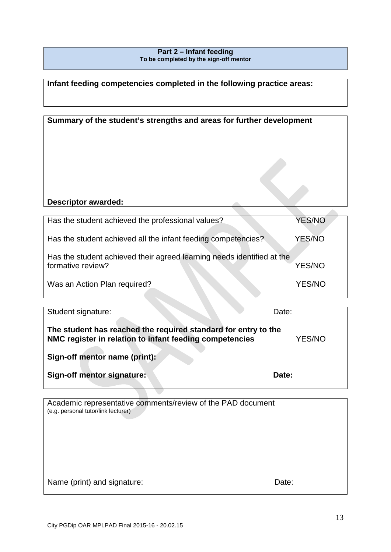# **Part 2 – Infant feeding To be completed by the sign-off mentor**

**Infant feeding competencies completed in the following practice areas:** 

| Summary of the student's strengths and areas for further development                        |               |  |
|---------------------------------------------------------------------------------------------|---------------|--|
|                                                                                             |               |  |
| <b>Descriptor awarded:</b>                                                                  |               |  |
| Has the student achieved the professional values?                                           | <b>YES/NO</b> |  |
| Has the student achieved all the infant feeding competencies?                               | <b>YES/NO</b> |  |
| Has the student achieved their agreed learning needs identified at the<br>formative review? | YES/NO        |  |

| Was an Action Plan required? | YES/NO |
|------------------------------|--------|
|------------------------------|--------|

| Student signature:                                                                                                        | Date:  |
|---------------------------------------------------------------------------------------------------------------------------|--------|
| The student has reached the required standard for entry to the<br>NMC register in relation to infant feeding competencies | YES/NO |
| Sign-off mentor name (print):                                                                                             |        |
| Sign-off mentor signature:                                                                                                | Date:  |

Academic representative comments/review of the PAD document (e.g. personal tutor/link lecturer) Name (print) and signature: Date: Date: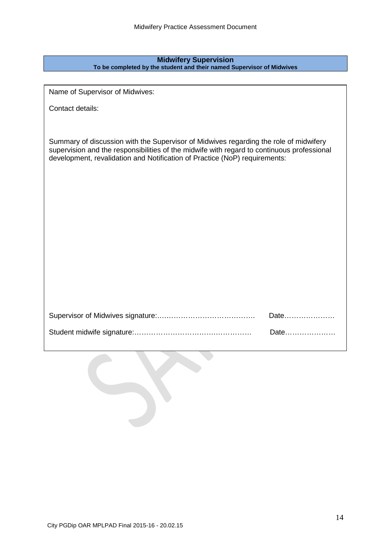## **Midwifery Supervision To be completed by the student and their named Supervisor of Midwives**

Name of Supervisor of Midwives:

Contact details:

Summary of discussion with the Supervisor of Midwives regarding the role of midwifery supervision and the responsibilities of the midwife with regard to continuous professional development, revalidation and Notification of Practice (NoP) requirements:

| Date |
|------|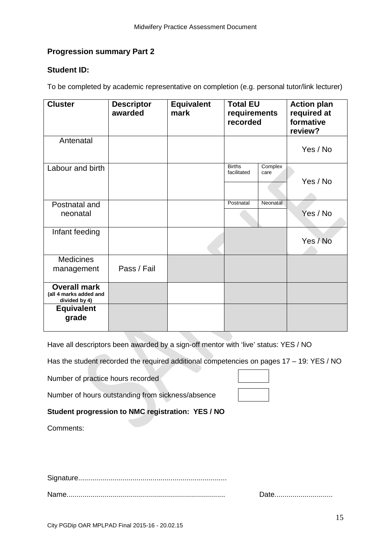# **Progression summary Part 2**

# **Student ID:**

To be completed by academic representative on completion (e.g. personal tutor/link lecturer)

| <b>Cluster</b>                                                 | <b>Descriptor</b><br>awarded | <b>Equivalent</b><br>mark | <b>Total EU</b><br>requirements<br>recorded     | <b>Action plan</b><br>required at<br>formative<br>review? |
|----------------------------------------------------------------|------------------------------|---------------------------|-------------------------------------------------|-----------------------------------------------------------|
| Antenatal                                                      |                              |                           |                                                 | Yes / No                                                  |
| Labour and birth                                               |                              |                           | <b>Births</b><br>Complex<br>facilitated<br>care | Yes / No                                                  |
| Postnatal and<br>neonatal                                      |                              |                           | Postnatal<br><b>Neonatal</b>                    | Yes / No                                                  |
| Infant feeding                                                 |                              |                           |                                                 | Yes / No                                                  |
| <b>Medicines</b><br>management                                 | Pass / Fail                  |                           |                                                 |                                                           |
| <b>Overall mark</b><br>(all 4 marks added and<br>divided by 4) |                              |                           |                                                 |                                                           |
| <b>Equivalent</b><br>grade                                     |                              |                           |                                                 |                                                           |

Have all descriptors been awarded by a sign-off mentor with 'live' status: YES / NO

Has the student recorded the required additional competencies on pages 17 - 19: YES / NO

Number of practice hours recorded

Number of hours outstanding from sickness/absence

**Student progression to NMC registration: YES / NO** 

Comments:

Signature..........................................................................

Name............................................................................... Date.............................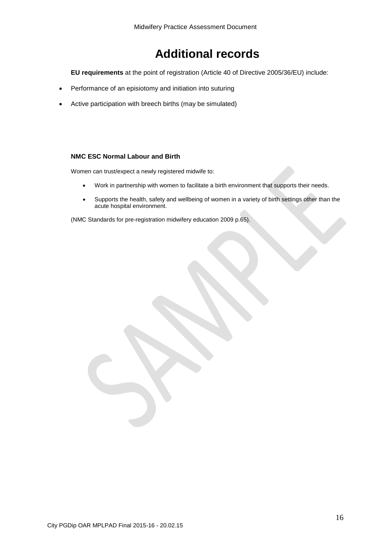# **Additional records**

**EU requirements** at the point of registration (Article 40 of Directive 2005/36/EU) include:

- Performance of an episiotomy and initiation into suturing
- Active participation with breech births (may be simulated)

## **NMC ESC Normal Labour and Birth**

Women can trust/expect a newly registered midwife to:

- Work in partnership with women to facilitate a birth environment that supports their needs.
- Supports the health, safety and wellbeing of women in a variety of birth settings other than the acute hospital environment.

(NMC Standards for pre-registration midwifery education 2009 p.65).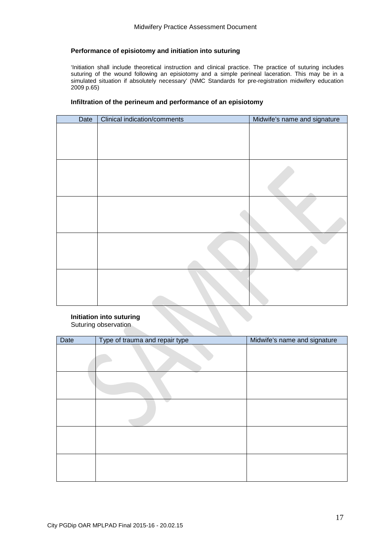# **Performance of episiotomy and initiation into suturing**

'Initiation shall include theoretical instruction and clinical practice. The practice of suturing includes suturing of the wound following an episiotomy and a simple perineal laceration. This may be in a simulated situation if absolutely necessary' (NMC Standards for pre-registration midwifery education 2009 p.65)

#### **Infiltration of the perineum and performance of an episiotomy**

| Date | <b>Clinical indication/comments</b> | Midwife's name and signature |
|------|-------------------------------------|------------------------------|
|      |                                     |                              |
|      |                                     |                              |
|      |                                     |                              |
|      |                                     |                              |
|      |                                     |                              |
|      |                                     |                              |

#### **Initiation into suturing** Suturing observation

| Date | Type of trauma and repair type | Midwife's name and signature |
|------|--------------------------------|------------------------------|
|      |                                |                              |
|      |                                |                              |
|      |                                |                              |
|      |                                |                              |
|      |                                |                              |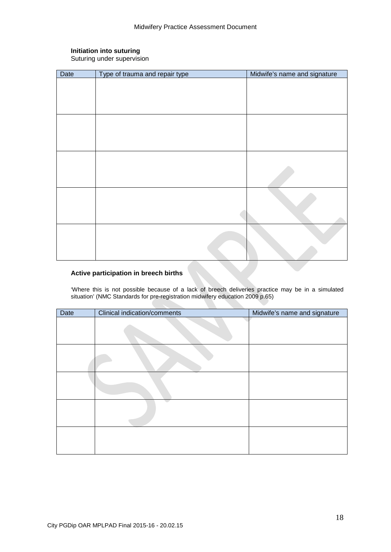# **Initiation into suturing**

Suturing under supervision

| Date | Type of trauma and repair type | Midwife's name and signature |
|------|--------------------------------|------------------------------|
|      |                                |                              |
|      |                                |                              |
|      |                                |                              |
|      |                                |                              |
|      |                                |                              |
|      |                                |                              |
|      |                                |                              |
|      |                                |                              |
|      |                                |                              |
|      |                                |                              |
|      |                                |                              |
|      |                                |                              |
|      |                                |                              |
|      |                                |                              |
|      |                                |                              |
|      |                                |                              |
|      |                                |                              |
|      |                                |                              |

# **Active participation in breech births**

'Where this is not possible because of a lack of breech deliveries practice may be in a simulated situation' (NMC Standards for pre-registration midwifery education 2009 p.65)

| Date | Clinical indication/comments | Midwife's name and signature |
|------|------------------------------|------------------------------|
|      |                              |                              |
|      |                              |                              |
|      |                              |                              |
|      |                              |                              |
|      |                              |                              |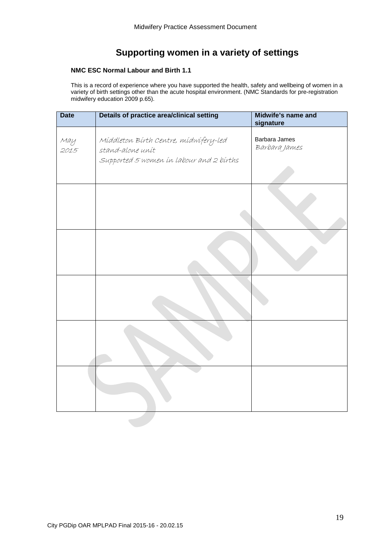# **Supporting women in a variety of settings**

# **NMC ESC Normal Labour and Birth 1.1**

This is a record of experience where you have supported the health, safety and wellbeing of women in a variety of birth settings other than the acute hospital environment. (NMC Standards for pre-registration midwifery education 2009 p.65).

| <b>Date</b> | Details of practice area/clinical setting                                                             | Midwife's name and<br>signature |
|-------------|-------------------------------------------------------------------------------------------------------|---------------------------------|
| May<br>2015 | Míddleton Bírth Centre, mídwífery-led<br>stand-alone unit<br>Supported 5 women in labour and 2 births | Barbara James<br>Barbara James  |
|             |                                                                                                       |                                 |
|             |                                                                                                       |                                 |
|             |                                                                                                       |                                 |
|             |                                                                                                       |                                 |
|             |                                                                                                       |                                 |
|             |                                                                                                       |                                 |